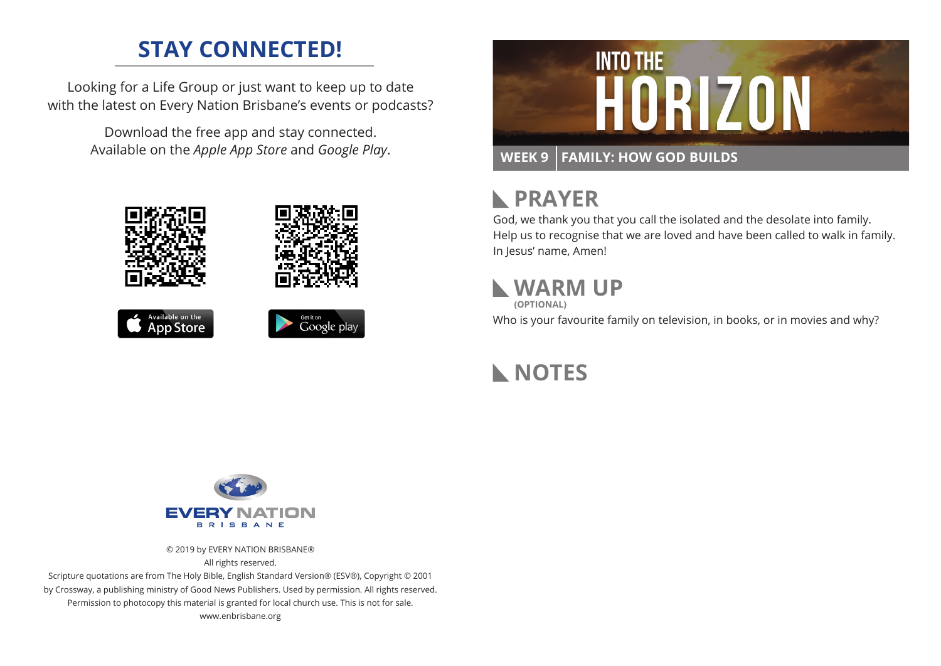#### **STAY CONNECTED!**

Looking for a Life Group or just want to keep up to date with the latest on Every Nation Brisbane's events or podcasts?

> Download the free app and stay connected. Available on the *Apple App Store* and *Google Play*.





# **N** PRAYER

God, we thank you that you call the isolated and the desolate into family. Help us to recognise that we are loved and have been called to walk in family. In Jesus' name, Amen!

### **WARM UP**

**(OPTIONAL)**

Who is your favourite family on television, in books, or in movies and why?

**NOTES**



© 2019 by EVERY NATION BRISBANE® All rights reserved.

Scripture quotations are from The Holy Bible, English Standard Version® (ESV®), Copyright © 2001 by Crossway, a publishing ministry of Good News Publishers. Used by permission. All rights reserved. Permission to photocopy this material is granted for local church use. This is not for sale. www.enbrisbane.org